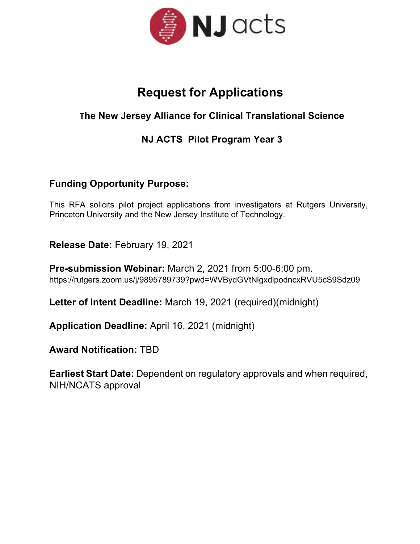

# **Request for Applications**

## **The New Jersey Alliance for Clinical Translational Science**

## **NJ ACTS Pilot Program Year 3**

## **Funding Opportunity Purpose:**

This RFA solicits pilot project applications from investigators at Rutgers University, Princeton University and the New Jersey Institute of Technology.

**Release Date:** February 19, 2021

**Pre-submission Webinar:** March 2, 2021 from 5:00-6:00 pm. https://rutgers.zoom.us/j/9895789739?pwd=WVBydGVtNlgxdlpodncxRVU5cS9Sdz09

**Letter of Intent Deadline:** March 19, 2021 (required)(midnight)

**Application Deadline:** April 16, 2021 (midnight)

**Award Notification:** TBD

**Earliest Start Date:** Dependent on regulatory approvals and when required, NIH/NCATS approval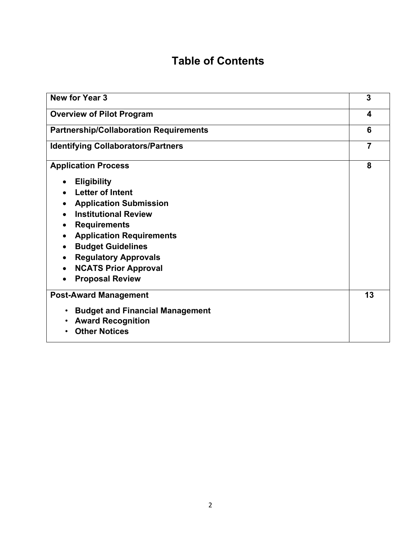# **Table of Contents**

| <b>New for Year 3</b>                               | 3              |  |
|-----------------------------------------------------|----------------|--|
| <b>Overview of Pilot Program</b>                    |                |  |
| <b>Partnership/Collaboration Requirements</b>       |                |  |
| <b>Identifying Collaborators/Partners</b>           | $\overline{7}$ |  |
| <b>Application Process</b>                          | 8              |  |
| <b>Eligibility</b>                                  |                |  |
| <b>Letter of Intent</b>                             |                |  |
| <b>Application Submission</b>                       |                |  |
| <b>Institutional Review</b>                         |                |  |
| <b>Requirements</b>                                 |                |  |
| <b>Application Requirements</b>                     |                |  |
| <b>Budget Guidelines</b><br>$\bullet$               |                |  |
| <b>Regulatory Approvals</b>                         |                |  |
| <b>NCATS Prior Approval</b>                         |                |  |
| <b>Proposal Review</b>                              |                |  |
| <b>Post-Award Management</b>                        | 13             |  |
| <b>Budget and Financial Management</b><br>$\bullet$ |                |  |
| <b>Award Recognition</b><br>$\bullet$               |                |  |
| <b>Other Notices</b><br>$\bullet$                   |                |  |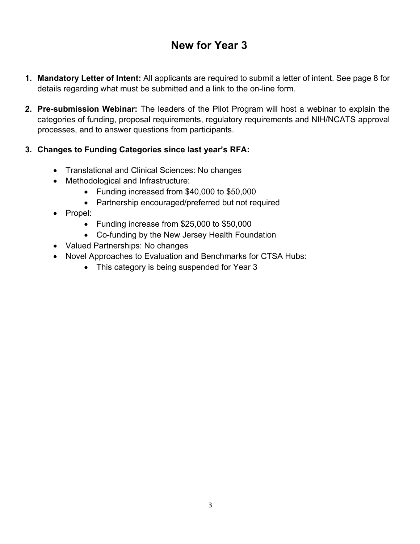# **New for Year 3**

- **1. Mandatory Letter of Intent:** All applicants are required to submit a letter of intent. See page 8 for details regarding what must be submitted and a link to the on-line form.
- **2. Pre-submission Webinar:** The leaders of the Pilot Program will host a webinar to explain the categories of funding, proposal requirements, regulatory requirements and NIH/NCATS approval processes, and to answer questions from participants.

#### **3. Changes to Funding Categories since last year's RFA:**

- Translational and Clinical Sciences: No changes
- Methodological and Infrastructure:
	- Funding increased from \$40,000 to \$50,000
	- Partnership encouraged/preferred but not required
- Propel:
	- Funding increase from \$25,000 to \$50,000
	- Co-funding by the New Jersey Health Foundation
- Valued Partnerships: No changes
- Novel Approaches to Evaluation and Benchmarks for CTSA Hubs:
	- This category is being suspended for Year 3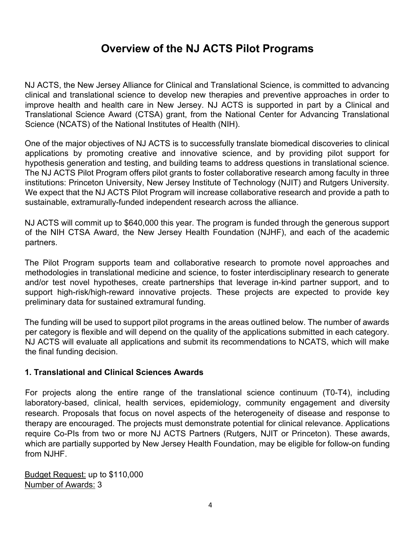## **Overview of the NJ ACTS Pilot Programs**

NJ ACTS, the New Jersey Alliance for Clinical and Translational Science, is committed to advancing clinical and translational science to develop new therapies and preventive approaches in order to improve health and health care in New Jersey. NJ ACTS is supported in part by a Clinical and Translational Science Award (CTSA) grant, from the National Center for Advancing Translational Science (NCATS) of the National Institutes of Health (NIH).

One of the major objectives of NJ ACTS is to successfully translate biomedical discoveries to clinical applications by promoting creative and innovative science, and by providing pilot support for hypothesis generation and testing, and building teams to address questions in translational science. The NJ ACTS Pilot Program offers pilot grants to foster collaborative research among faculty in three institutions: Princeton University, New Jersey Institute of Technology (NJIT) and Rutgers University. We expect that the NJ ACTS Pilot Program will increase collaborative research and provide a path to sustainable, extramurally-funded independent research across the alliance.

NJ ACTS will commit up to \$640,000 this year. The program is funded through the generous support of the NIH CTSA Award, the New Jersey Health Foundation (NJHF), and each of the academic partners.

The Pilot Program supports team and collaborative research to promote novel approaches and methodologies in translational medicine and science, to foster interdisciplinary research to generate and/or test novel hypotheses, create partnerships that leverage in-kind partner support, and to support high-risk/high-reward innovative projects. These projects are expected to provide key preliminary data for sustained extramural funding.

The funding will be used to support pilot programs in the areas outlined below. The number of awards per category is flexible and will depend on the quality of the applications submitted in each category. NJ ACTS will evaluate all applications and submit its recommendations to NCATS, which will make the final funding decision.

#### **1. Translational and Clinical Sciences Awards**

For projects along the entire range of the translational science continuum (T0-T4), including laboratory-based, clinical, health services, epidemiology, community engagement and diversity research. Proposals that focus on novel aspects of the heterogeneity of disease and response to therapy are encouraged. The projects must demonstrate potential for clinical relevance. Applications require Co-PIs from two or more NJ ACTS Partners (Rutgers, NJIT or Princeton). These awards, which are partially supported by New Jersey Health Foundation, may be eligible for follow-on funding from NJHF.

Budget Request: up to \$110,000 Number of Awards: 3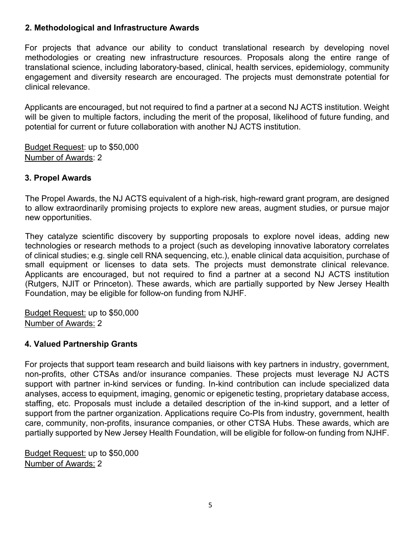#### **2. Methodological and Infrastructure Awards**

For projects that advance our ability to conduct translational research by developing novel methodologies or creating new infrastructure resources. Proposals along the entire range of translational science, including laboratory-based, clinical, health services, epidemiology, community engagement and diversity research are encouraged. The projects must demonstrate potential for clinical relevance.

Applicants are encouraged, but not required to find a partner at a second NJ ACTS institution. Weight will be given to multiple factors, including the merit of the proposal, likelihood of future funding, and potential for current or future collaboration with another NJ ACTS institution.

Budget Request: up to \$50,000 Number of Awards: 2

#### **3. Propel Awards**

The Propel Awards, the NJ ACTS equivalent of a high-risk, high-reward grant program, are designed to allow extraordinarily promising projects to explore new areas, augment studies, or pursue major new opportunities.

They catalyze scientific discovery by supporting proposals to explore novel ideas, adding new technologies or research methods to a project (such as developing innovative laboratory correlates of clinical studies; e.g. single cell RNA sequencing, etc.), enable clinical data acquisition, purchase of small equipment or licenses to data sets. The projects must demonstrate clinical relevance. Applicants are encouraged, but not required to find a partner at a second NJ ACTS institution (Rutgers, NJIT or Princeton). These awards, which are partially supported by New Jersey Health Foundation, may be eligible for follow-on funding from NJHF.

Budget Request: up to \$50,000 Number of Awards: 2

#### **4. Valued Partnership Grants**

For projects that support team research and build liaisons with key partners in industry, government, non-profits, other CTSAs and/or insurance companies. These projects must leverage NJ ACTS support with partner in-kind services or funding. In-kind contribution can include specialized data analyses, access to equipment, imaging, genomic or epigenetic testing, proprietary database access, staffing, etc. Proposals must include a detailed description of the in-kind support, and a letter of support from the partner organization. Applications require Co-PIs from industry, government, health care, community, non-profits, insurance companies, or other CTSA Hubs. These awards, which are partially supported by New Jersey Health Foundation, will be eligible for follow-on funding from NJHF.

Budget Request: up to \$50,000 Number of Awards: 2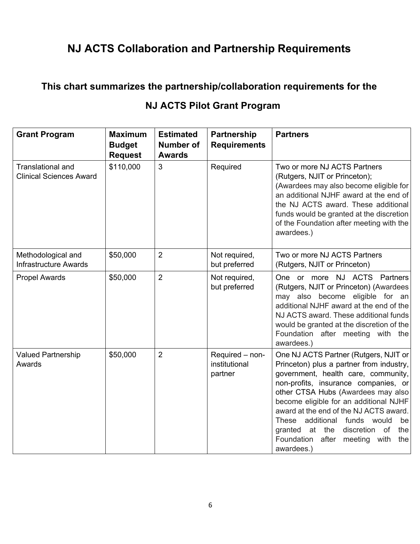# **NJ ACTS Collaboration and Partnership Requirements**

### **This chart summarizes the partnership/collaboration requirements for the**

| <b>Grant Program</b>                                | <b>Maximum</b><br><b>Budget</b><br><b>Request</b> | <b>Estimated</b><br><b>Number of</b><br><b>Awards</b> | Partnership<br><b>Requirements</b>          | <b>Partners</b>                                                                                                                                                                                                                                                                                                                                                                                                                                     |
|-----------------------------------------------------|---------------------------------------------------|-------------------------------------------------------|---------------------------------------------|-----------------------------------------------------------------------------------------------------------------------------------------------------------------------------------------------------------------------------------------------------------------------------------------------------------------------------------------------------------------------------------------------------------------------------------------------------|
| Translational and<br><b>Clinical Sciences Award</b> | \$110,000                                         | $\overline{3}$                                        | Required                                    | Two or more NJ ACTS Partners<br>(Rutgers, NJIT or Princeton);<br>(Awardees may also become eligible for<br>an additional NJHF award at the end of<br>the NJ ACTS award. These additional<br>funds would be granted at the discretion<br>of the Foundation after meeting with the<br>awardees.)                                                                                                                                                      |
| Methodological and<br><b>Infrastructure Awards</b>  | \$50,000                                          | $\overline{2}$                                        | Not required,<br>but preferred              | Two or more NJ ACTS Partners<br>(Rutgers, NJIT or Princeton)                                                                                                                                                                                                                                                                                                                                                                                        |
| <b>Propel Awards</b>                                | \$50,000                                          | $\overline{2}$                                        | Not required,<br>but preferred              | One or more NJ ACTS Partners<br>(Rutgers, NJIT or Princeton) (Awardees<br>may also become eligible for an<br>additional NJHF award at the end of the<br>NJ ACTS award. These additional funds<br>would be granted at the discretion of the<br>Foundation after meeting with the<br>awardees.)                                                                                                                                                       |
| <b>Valued Partnership</b><br>Awards                 | \$50,000                                          | $\overline{2}$                                        | Required - non-<br>institutional<br>partner | One NJ ACTS Partner (Rutgers, NJIT or<br>Princeton) plus a partner from industry,<br>government, health care, community,<br>non-profits, insurance companies, or<br>other CTSA Hubs (Awardees may also<br>become eligible for an additional NJHF<br>award at the end of the NJ ACTS award.<br>additional funds would<br><b>These</b><br>be<br>granted at<br>the<br>discretion of<br>the<br>after<br>Foundation<br>meeting with<br>the<br>awardees.) |

## **NJ ACTS Pilot Grant Program**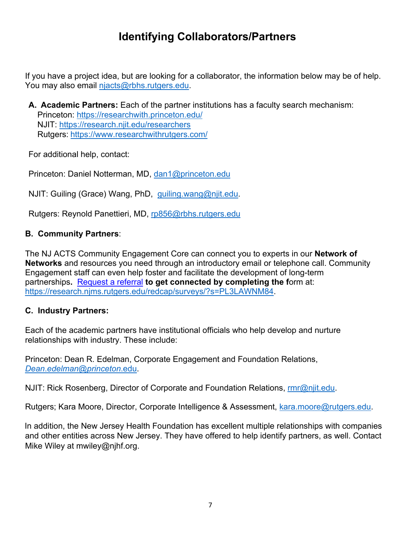# **Identifying Collaborators/Partners**

If you have a project idea, but are looking for a collaborator, the information below may be of help. You may also email njacts@rbhs.rutgers.edu.

**A. Academic Partners:** Each of the partner institutions has a faculty search mechanism: Princeton: https://researchwith.princeton.edu/ NJIT: https://research.njit.edu/researchers Rutgers: https://www.researchwithrutgers.com/

For additional help, contact:

Princeton: Daniel Notterman, MD, dan1@princeton.edu

NJIT: Guiling (Grace) Wang, PhD, guiling.wang@njit.edu.

Rutgers: Reynold Panettieri, MD, rp856@rbhs.rutgers.edu

#### **B. Community Partners**:

The NJ ACTS Community Engagement Core can connect you to experts in our **Network of Networks** and resources you need through an introductory email or telephone call. Community Engagement staff can even help foster and facilitate the development of long-term partnerships**.** Request a referral **to get connected by completing the f**orm at: https://research.njms.rutgers.edu/redcap/surveys/?s=PL3LAWNM84.

#### **C. Industry Partners:**

Each of the academic partners have institutional officials who help develop and nurture relationships with industry. These include:

Princeton: Dean R. Edelman, Corporate Engagement and Foundation Relations, *Dean*.*edelman*@*princeton*.edu.

NJIT: Rick Rosenberg, Director of Corporate and Foundation Relations, rmr@njit.edu.

Rutgers; Kara Moore, Director, Corporate Intelligence & Assessment, kara.moore@rutgers.edu.

In addition, the New Jersey Health Foundation has excellent multiple relationships with companies and other entities across New Jersey. They have offered to help identify partners, as well. Contact Mike Wiley at mwiley@njhf.org.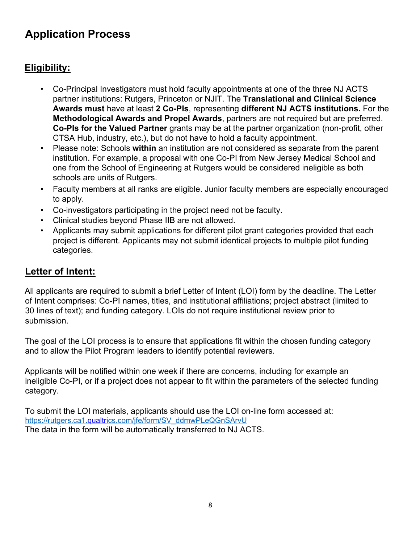# **Application Process**

## **Eligibility:**

- Co-Principal Investigators must hold faculty appointments at one of the three NJ ACTS partner institutions: Rutgers, Princeton or NJIT. The **Translational and Clinical Science Awards must** have at least **2 Co-PIs**, representing **different NJ ACTS institutions.** For the **Methodological Awards and Propel Awards**, partners are not required but are preferred. **Co-PIs for the Valued Partner** grants may be at the partner organization (non-profit, other CTSA Hub, industry, etc.), but do not have to hold a faculty appointment.
- Please note: Schools **within** an institution are not considered as separate from the parent institution. For example, a proposal with one Co-PI from New Jersey Medical School and one from the School of Engineering at Rutgers would be considered ineligible as both schools are units of Rutgers.
- Faculty members at all ranks are eligible. Junior faculty members are especially encouraged to apply.
- Co-investigators participating in the project need not be faculty.
- Clinical studies beyond Phase IIB are not allowed.
- Applicants may submit applications for different pilot grant categories provided that each project is different. Applicants may not submit identical projects to multiple pilot funding categories.

### **Letter of Intent:**

All applicants are required to submit a brief Letter of Intent (LOI) form by the deadline. The Letter of Intent comprises: Co-PI names, titles, and institutional affiliations; project abstract (limited to 30 lines of text); and funding category. LOIs do not require institutional review prior to submission.

The goal of the LOI process is to ensure that applications fit within the chosen funding category and to allow the Pilot Program leaders to identify potential reviewers.

Applicants will be notified within one week if there are concerns, including for example an ineligible Co-PI, or if a project does not appear to fit within the parameters of the selected funding category.

To submit the LOI materials, applicants should use the LOI on-line form accessed at: https://rutgers.ca1.qualtrics.com/jfe/form/SV\_ddmwPLeQGnSArvU The data in the form will be automatically transferred to NJ ACTS.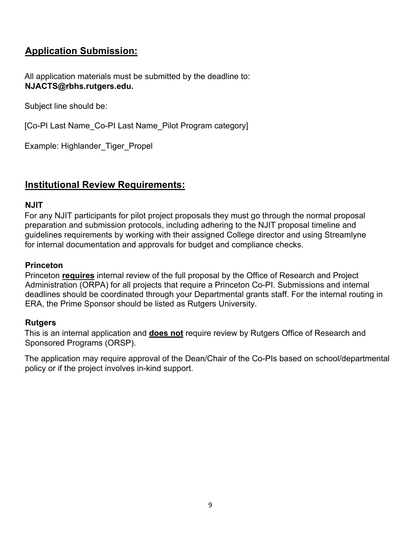## **Application Submission:**

All application materials must be submitted by the deadline to: **NJACTS@rbhs.rutgers.edu.** 

Subject line should be:

[Co-PI Last Name\_Co-PI Last Name\_Pilot Program category]

Example: Highlander\_Tiger\_Propel

### **Institutional Review Requirements:**

#### **NJIT**

For any NJIT participants for pilot project proposals they must go through the normal proposal preparation and submission protocols, including adhering to the NJIT proposal timeline and guidelines requirements by working with their assigned College director and using Streamlyne for internal documentation and approvals for budget and compliance checks.

#### **Princeton**

Princeton **requires** internal review of the full proposal by the Office of Research and Project Administration (ORPA) for all projects that require a Princeton Co-PI. Submissions and internal deadlines should be coordinated through your Departmental grants staff. For the internal routing in ERA, the Prime Sponsor should be listed as Rutgers University.

#### **Rutgers**

This is an internal application and **does not** require review by Rutgers Office of Research and Sponsored Programs (ORSP).

The application may require approval of the Dean/Chair of the Co-PIs based on school/departmental policy or if the project involves in-kind support.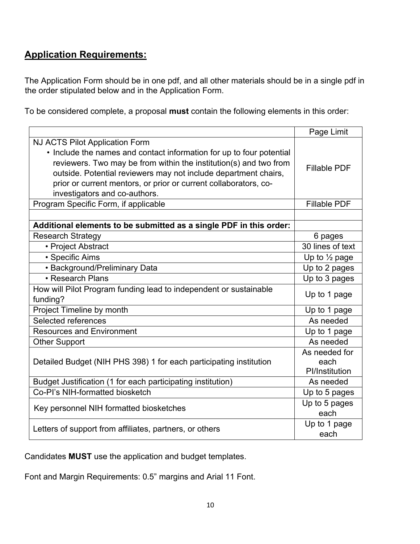## **Application Requirements:**

The Application Form should be in one pdf, and all other materials should be in a single pdf in the order stipulated below and in the Application Form.

To be considered complete, a proposal **must** contain the following elements in this order:

|                                                                      | Page Limit               |  |
|----------------------------------------------------------------------|--------------------------|--|
| NJ ACTS Pilot Application Form                                       |                          |  |
| • Include the names and contact information for up to four potential |                          |  |
| reviewers. Two may be from within the institution(s) and two from    | <b>Fillable PDF</b>      |  |
| outside. Potential reviewers may not include department chairs,      |                          |  |
| prior or current mentors, or prior or current collaborators, co-     |                          |  |
| investigators and co-authors.                                        |                          |  |
| Program Specific Form, if applicable                                 | <b>Fillable PDF</b>      |  |
|                                                                      |                          |  |
| Additional elements to be submitted as a single PDF in this order:   |                          |  |
| <b>Research Strategy</b>                                             | 6 pages                  |  |
| • Project Abstract                                                   | 30 lines of text         |  |
| • Specific Aims                                                      | Up to $\frac{1}{2}$ page |  |
| • Background/Preliminary Data                                        | Up to 2 pages            |  |
| • Research Plans                                                     | Up to 3 pages            |  |
| How will Pilot Program funding lead to independent or sustainable    |                          |  |
| funding?                                                             | Up to 1 page             |  |
| Project Timeline by month                                            | Up to 1 page             |  |
| Selected references                                                  | As needed                |  |
| <b>Resources and Environment</b>                                     | Up to 1 page             |  |
| <b>Other Support</b>                                                 | As needed                |  |
|                                                                      | As needed for            |  |
| Detailed Budget (NIH PHS 398) 1 for each participating institution   | each                     |  |
|                                                                      | PI/Institution           |  |
| Budget Justification (1 for each participating institution)          | As needed                |  |
| Co-PI's NIH-formatted biosketch                                      | Up to 5 pages            |  |
| Key personnel NIH formatted biosketches                              | Up to 5 pages            |  |
|                                                                      | each                     |  |
| Letters of support from affiliates, partners, or others              | Up to 1 page             |  |
|                                                                      | each                     |  |

Candidates **MUST** use the application and budget templates.

Font and Margin Requirements: 0.5" margins and Arial 11 Font.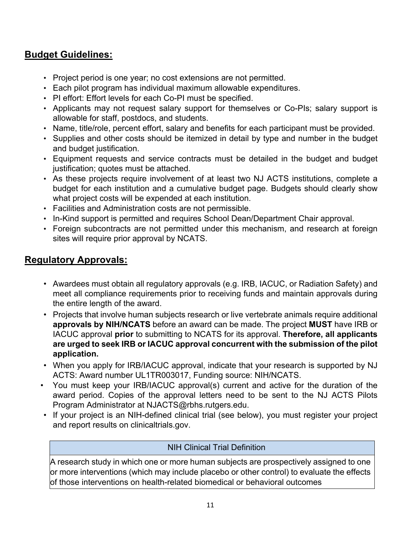## **Budget Guidelines:**

- Project period is one year; no cost extensions are not permitted.
- Each pilot program has individual maximum allowable expenditures.
- PI effort: Effort levels for each Co-PI must be specified.
- Applicants may not request salary support for themselves or Co-PIs; salary support is allowable for staff, postdocs, and students.
- Name, title/role, percent effort, salary and benefits for each participant must be provided.
- Supplies and other costs should be itemized in detail by type and number in the budget and budget justification.
- Equipment requests and service contracts must be detailed in the budget and budget justification; quotes must be attached.
- As these projects require involvement of at least two NJ ACTS institutions, complete a budget for each institution and a cumulative budget page. Budgets should clearly show what project costs will be expended at each institution.
- Facilities and Administration costs are not permissible.
- In-Kind support is permitted and requires School Dean/Department Chair approval.
- Foreign subcontracts are not permitted under this mechanism, and research at foreign sites will require prior approval by NCATS.

## **Regulatory Approvals:**

- Awardees must obtain all regulatory approvals (e.g. IRB, IACUC, or Radiation Safety) and meet all compliance requirements prior to receiving funds and maintain approvals during the entire length of the award.
- Projects that involve human subjects research or live vertebrate animals require additional **approvals by NIH/NCATS** before an award can be made. The project **MUST** have IRB or IACUC approval **prior** to submitting to NCATS for its approval. **Therefore, all applicants are urged to seek IRB or IACUC approval concurrent with the submission of the pilot application.**
- When you apply for IRB/IACUC approval, indicate that your research is supported by NJ ACTS: Award number UL1TR003017, Funding source: NIH/NCATS.
- You must keep your IRB/IACUC approval(s) current and active for the duration of the award period. Copies of the approval letters need to be sent to the NJ ACTS Pilots Program Administrator at NJACTS@rbhs.rutgers.edu.
- If your project is an NIH-defined clinical trial (see below), you must register your project and report results on clinicaltrials.gov.

#### NIH Clinical Trial Definition

A research study in which one or more human subjects are prospectively assigned to one or more interventions (which may include placebo or other control) to evaluate the effects of those interventions on health-related biomedical or behavioral outcomes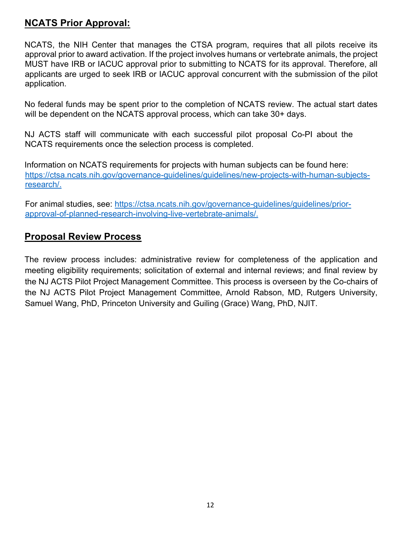## **NCATS Prior Approval:**

NCATS, the NIH Center that manages the CTSA program, requires that all pilots receive its approval prior to award activation. If the project involves humans or vertebrate animals, the project MUST have IRB or IACUC approval prior to submitting to NCATS for its approval. Therefore, all applicants are urged to seek IRB or IACUC approval concurrent with the submission of the pilot application.

No federal funds may be spent prior to the completion of NCATS review. The actual start dates will be dependent on the NCATS approval process, which can take 30+ days.

NJ ACTS staff will communicate with each successful pilot proposal Co-PI about the NCATS requirements once the selection process is completed.

Information on NCATS requirements for projects with human subjects can be found here: https://ctsa.ncats.nih.gov/governance-guidelines/guidelines/new-projects-with-human-subjectsresearch/.

For animal studies, see: https://ctsa.ncats.nih.gov/governance-guidelines/guidelines/priorapproval-of-planned-research-involving-live-vertebrate-animals/.

#### **Proposal Review Process**

The review process includes: administrative review for completeness of the application and meeting eligibility requirements; solicitation of external and internal reviews; and final review by the NJ ACTS Pilot Project Management Committee. This process is overseen by the Co-chairs of the NJ ACTS Pilot Project Management Committee, Arnold Rabson, MD, Rutgers University, Samuel Wang, PhD, Princeton University and Guiling (Grace) Wang, PhD, NJIT.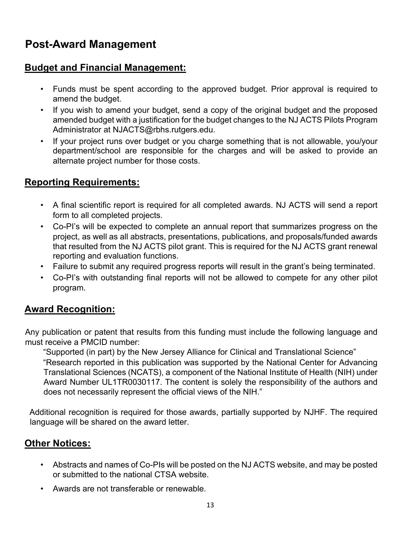# **Post-Award Management**

### **Budget and Financial Management:**

- Funds must be spent according to the approved budget. Prior approval is required to amend the budget.
- If you wish to amend your budget, send a copy of the original budget and the proposed amended budget with a justification for the budget changes to the NJ ACTS Pilots Program Administrator at NJACTS@rbhs.rutgers.edu.
- If your project runs over budget or you charge something that is not allowable, you/your department/school are responsible for the charges and will be asked to provide an alternate project number for those costs.

### **Reporting Requirements:**

- A final scientific report is required for all completed awards. NJ ACTS will send a report form to all completed projects.
- Co-PI's will be expected to complete an annual report that summarizes progress on the project, as well as all abstracts, presentations, publications, and proposals/funded awards that resulted from the NJ ACTS pilot grant. This is required for the NJ ACTS grant renewal reporting and evaluation functions.
- Failure to submit any required progress reports will result in the grant's being terminated.
- Co-PI's with outstanding final reports will not be allowed to compete for any other pilot program.

## **Award Recognition:**

Any publication or patent that results from this funding must include the following language and must receive a PMCID number:

"Supported (in part) by the New Jersey Alliance for Clinical and Translational Science" "Research reported in this publication was supported by the National Center for Advancing Translational Sciences (NCATS), a component of the National Institute of Health (NIH) under Award Number UL1TR0030117. The content is solely the responsibility of the authors and does not necessarily represent the official views of the NIH."

Additional recognition is required for those awards, partially supported by NJHF. The required language will be shared on the award letter.

## **Other Notices:**

- Abstracts and names of Co-PIs will be posted on the NJ ACTS website, and may be posted or submitted to the national CTSA website.
- Awards are not transferable or renewable.